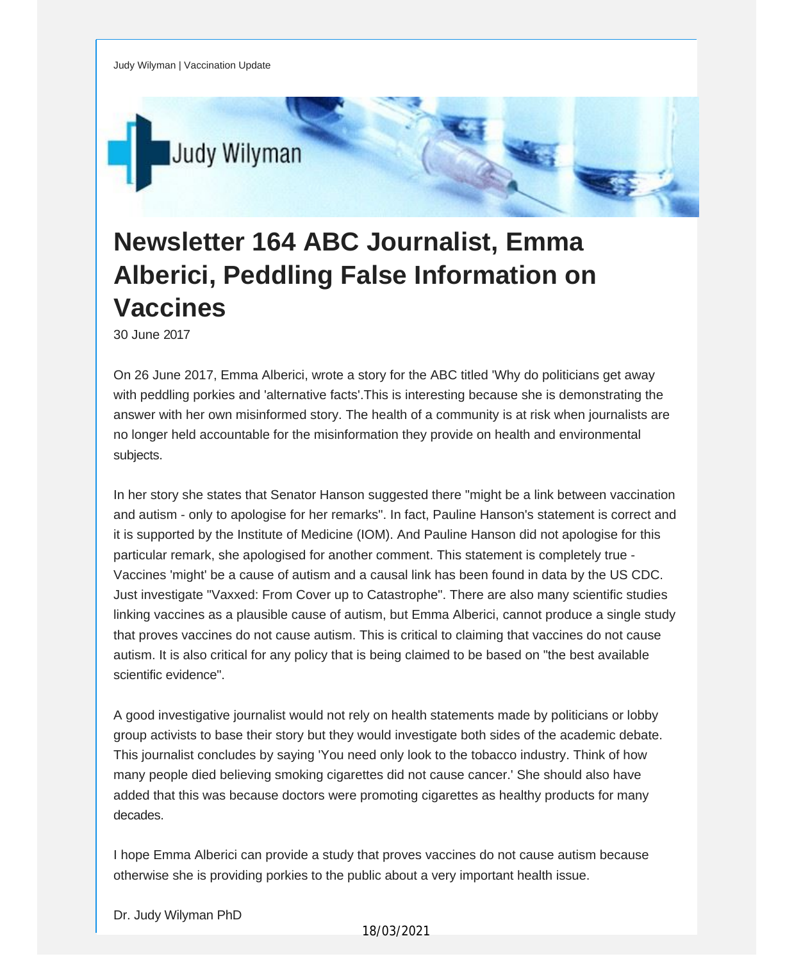Judy Wilyman | Vaccination Update



## **Newsletter 164 ABC Journalist, Emma Alberici, Peddling False Information on Vaccines**

30 June 2017

On 26 June 2017, Emma Alberici, wrote a story for the ABC titled 'Why do politicians get away with peddling porkies and 'alternative facts'.This is interesting because she is demonstrating the answer with her own misinformed story. The health of a community is at risk when journalists are no longer held accountable for the misinformation they provide on health and environmental subjects.

In her story she states that Senator Hanson suggested there "might be a link between vaccination and autism - only to apologise for her remarks". In fact, Pauline Hanson's statement is correct and it is supported by the Institute of Medicine (IOM). And Pauline Hanson did not apologise for this particular remark, she apologised for another comment. This statement is completely true - Vaccines 'might' be a cause of autism and a causal link has been found in data by the US CDC. Just investigate "Vaxxed: From Cover up to Catastrophe". There are also many scientific studies linking vaccines as a plausible cause of autism, but Emma Alberici, cannot produce a single study that proves vaccines do not cause autism. This is critical to claiming that vaccines do not cause autism. It is also critical for any policy that is being claimed to be based on "the best available scientific evidence".

A good investigative journalist would not rely on health statements made by politicians or lobby group activists to base their story but they would investigate both sides of the academic debate. This journalist concludes by saying 'You need only look to the tobacco industry. Think of how many people died believing smoking cigarettes did not cause cancer.' She should also have added that this was because doctors were promoting cigarettes as healthy products for many decades.

I hope Emma Alberici can provide a study that proves vaccines do not cause autism because otherwise she is providing porkies to the public about a very important health issue.

Dr. Judy Wilyman PhD

## 18/03/2021